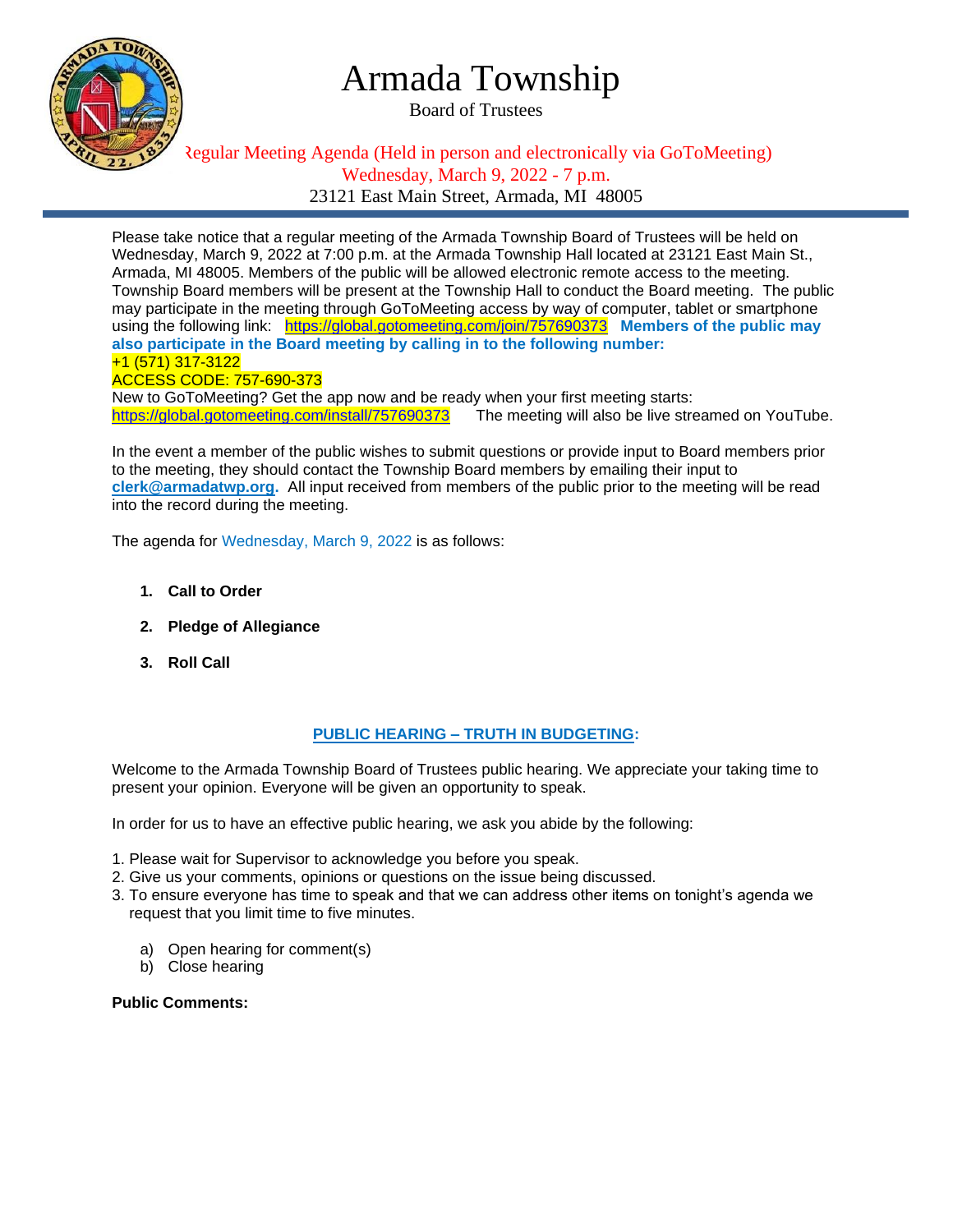

## Armada Township

Board of Trustees

### Regular Meeting Agenda (Held in person and electronically via GoToMeeting) Wednesday, March 9, 2022 - 7 p.m. 23121 East Main Street, Armada, MI 48005

Please take notice that a regular meeting of the Armada Township Board of Trustees will be held on Wednesday, March 9, 2022 at 7:00 p.m. at the Armada Township Hall located at 23121 East Main St., Armada, MI 48005. Members of the public will be allowed electronic remote access to the meeting. Township Board members will be present at the Township Hall to conduct the Board meeting. The public may participate in the meeting through GoToMeeting access by way of computer, tablet or smartphone using the following link: <https://global.gotomeeting.com/join/757690373>**Members of the public may also participate in the Board meeting by calling in to the following number:** +1 (571) 317-3122 ACCESS CODE: 757-690-373 New to GoToMeeting? Get the app now and be ready when your first meeting starts:

<https://global.gotomeeting.com/install/757690373>The meeting will also be live streamed on YouTube.

In the event a member of the public wishes to submit questions or provide input to Board members prior to the meeting, they should contact the Township Board members by emailing their input to **[clerk@armadatwp.org.](mailto:clerk@armadatwp.org)** All input received from members of the public prior to the meeting will be read into the record during the meeting.

The agenda for Wednesday, March 9, 2022 is as follows:

- **1. Call to Order**
- **2. Pledge of Allegiance**
- **3. Roll Call**

#### **PUBLIC HEARING – TRUTH IN BUDGETING:**

Welcome to the Armada Township Board of Trustees public hearing. We appreciate your taking time to present your opinion. Everyone will be given an opportunity to speak.

In order for us to have an effective public hearing, we ask you abide by the following:

- 1. Please wait for Supervisor to acknowledge you before you speak.
- 2. Give us your comments, opinions or questions on the issue being discussed.
- 3. To ensure everyone has time to speak and that we can address other items on tonight's agenda we request that you limit time to five minutes.
	- a) Open hearing for comment(s)
	- b) Close hearing

**Public Comments:**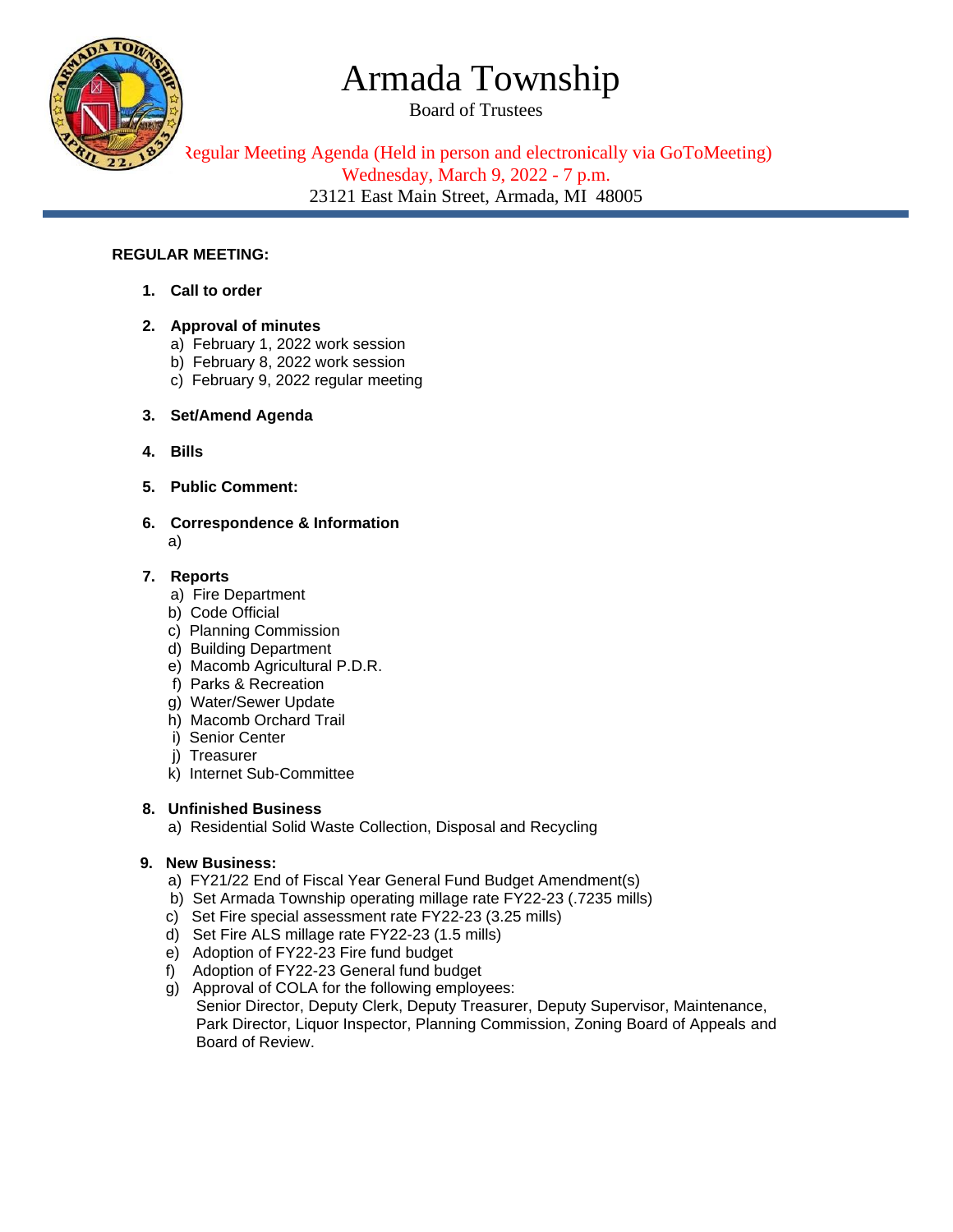# Armada Township

Board of Trustees



Regular Meeting Agenda (Held in person and electronically via GoToMeeting) Wednesday, March 9, 2022 - 7 p.m. 23121 East Main Street, Armada, MI 48005

#### **REGULAR MEETING:**

- **1. Call to order**
- **2. Approval of minutes** 
	- a) February 1, 2022 work session
	- b) February 8, 2022 work session
	- c) February 9, 2022 regular meeting
- **3. Set/Amend Agenda**
- **4. Bills**
- **5. Public Comment:**
- **6. Correspondence & Information**  a)

#### **7. Reports**

- a) Fire Department
- b) Code Official
- c) Planning Commission
- d) Building Department
- e) Macomb Agricultural P.D.R.
- f) Parks & Recreation
- g) Water/Sewer Update
- h) Macomb Orchard Trail
- i) Senior Center
- j) Treasurer
- k) Internet Sub-Committee

#### **8. Unfinished Business**

a) Residential Solid Waste Collection, Disposal and Recycling

#### **9. New Business:**

- a) FY21/22 End of Fiscal Year General Fund Budget Amendment(s)
- b) Set Armada Township operating millage rate FY22-23 (.7235 mills)
- c) Set Fire special assessment rate FY22-23 (3.25 mills)
- d) Set Fire ALS millage rate FY22-23 (1.5 mills)
- e) Adoption of FY22-23 Fire fund budget
- f) Adoption of FY22-23 General fund budget
- g) Approval of COLA for the following employees: Senior Director, Deputy Clerk, Deputy Treasurer, Deputy Supervisor, Maintenance, Park Director, Liquor Inspector, Planning Commission, Zoning Board of Appeals and Board of Review.